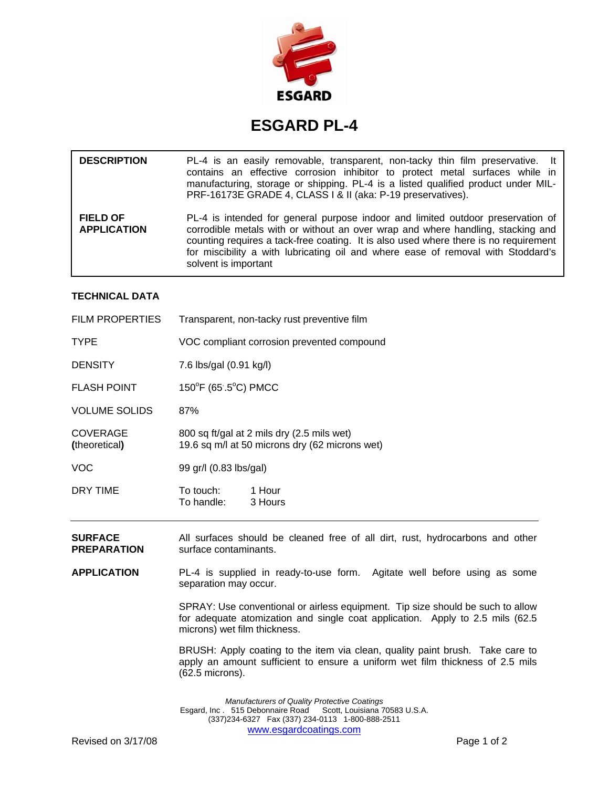

## **ESGARD PL-4**

| <b>DESCRIPTION</b>                    | PL-4 is an easily removable, transparent, non-tacky thin film preservative. It<br>contains an effective corrosion inhibitor to protect metal surfaces while in<br>manufacturing, storage or shipping. PL-4 is a listed qualified product under MIL-<br>PRF-16173E GRADE 4, CLASS   & II (aka: P-19 preservatives).                                                     |
|---------------------------------------|------------------------------------------------------------------------------------------------------------------------------------------------------------------------------------------------------------------------------------------------------------------------------------------------------------------------------------------------------------------------|
| <b>FIELD OF</b><br><b>APPLICATION</b> | PL-4 is intended for general purpose indoor and limited outdoor preservation of<br>corrodible metals with or without an over wrap and where handling, stacking and<br>counting requires a tack-free coating. It is also used where there is no requirement<br>for miscibility a with lubricating oil and where ease of removal with Stoddard's<br>solvent is important |

## **TECHNICAL DATA**

| <b>FILM PROPERTIES</b>               | Transparent, non-tacky rust preventive film                                                            |
|--------------------------------------|--------------------------------------------------------------------------------------------------------|
| <b>TYPE</b>                          | VOC compliant corrosion prevented compound                                                             |
| <b>DENSITY</b>                       | 7.6 lbs/gal (0.91 kg/l)                                                                                |
| <b>FLASH POINT</b>                   | $150^{\circ}$ F (65.5 $^{\circ}$ C) PMCC                                                               |
| <b>VOLUME SOLIDS</b>                 | 87%                                                                                                    |
| <b>COVERAGE</b><br>(theoretical)     | 800 sq ft/gal at 2 mils dry (2.5 mils wet)<br>19.6 sq m/l at 50 microns dry (62 microns wet)           |
| <b>VOC</b>                           | 99 gr/l (0.83 lbs/gal)                                                                                 |
| DRY TIME                             | To touch:<br>1 Hour<br>To handle:<br>3 Hours                                                           |
| <b>SURFACE</b><br><b>PREPARATION</b> | All surfaces should be cleaned free of all dirt, rust, hydrocarbons and other<br>surface contaminants. |
|                                      |                                                                                                        |

**APPLICATION** PL-4 is supplied in ready-to-use form. Agitate well before using as some separation may occur.

> SPRAY: Use conventional or airless equipment. Tip size should be such to allow for adequate atomization and single coat application. Apply to 2.5 mils (62.5 microns) wet film thickness.

> BRUSH: Apply coating to the item via clean, quality paint brush. Take care to apply an amount sufficient to ensure a uniform wet film thickness of 2.5 mils (62.5 microns).

*Manufacturers of Quality Protective Coatings*  Esgard, Inc . 515 Debonnaire Road Scott, Louisiana 70583 U.S.A. (337)234-6327 Fax (337) 234-0113 1-800-888-2511 www.esgardcoatings.com